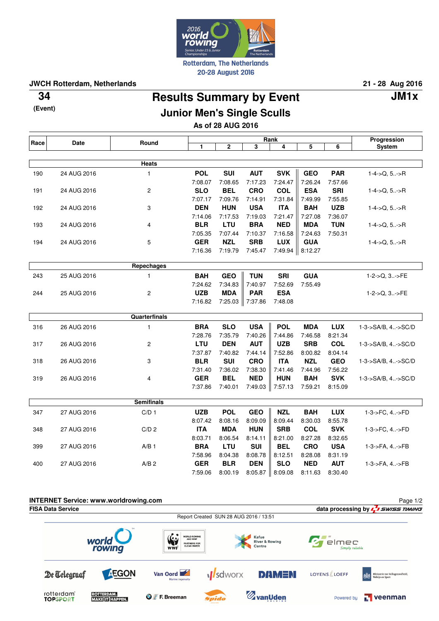

**JWCH Rotterdam, Netherlands 21 - 28 Aug 2016**

**(Event)**

## **Results Summary by Event 34 JM1x**

## **Junior Men's Single Sculls**

**As of 28 AUG 2016**

| Race | <b>Date</b> | Round             | Rank       |             |              |                 |                 |            | Progression        |
|------|-------------|-------------------|------------|-------------|--------------|-----------------|-----------------|------------|--------------------|
|      |             |                   | 1          | $\mathbf 2$ | 3            | 4               | 5               | 6          | System             |
|      |             |                   |            |             |              |                 |                 |            |                    |
|      |             | Heats             |            |             |              |                 |                 |            |                    |
| 190  | 24 AUG 2016 | $\mathbf{1}$      | <b>POL</b> | <b>SUI</b>  | <b>AUT</b>   | <b>SVK</b>      | <b>GEO</b>      | <b>PAR</b> | $1-4->Q, 5>R$      |
|      |             |                   | 7:08.07    | 7:08.65     | 7:17.23      | 7:24.47         | 7:26.24         | 7:57.66    |                    |
| 191  | 24 AUG 2016 | 2                 | <b>SLO</b> | <b>BEL</b>  | <b>CRO</b>   | <b>COL</b>      | <b>ESA</b>      | <b>SRI</b> | $1-4$ ->Q, 5->R    |
|      |             |                   | 7:07.17    | 7:09.76     | 7:14.91      | 7:31.84         | 7:49.99         | 7:55.85    |                    |
| 192  | 24 AUG 2016 | 3                 | <b>DEN</b> | <b>HUN</b>  | <b>USA</b>   | <b>ITA</b>      | <b>BAH</b>      | <b>UZB</b> | $1-4$ ->Q, $5$ ->R |
|      |             |                   | 7:14.06    | 7:17.53     | 7:19.03      | 7:21.47         | 7:27.08         | 7:36.07    |                    |
| 193  | 24 AUG 2016 | 4                 | <b>BLR</b> | LTU         | <b>BRA</b>   | <b>NED</b>      | <b>MDA</b>      | <b>TUN</b> | $1-4$ ->Q, $5$ ->R |
|      |             |                   | 7:05.35    | 7:07.44     | 7:10.37      | 7:16.58         | 7:24.63         | 7:50.31    |                    |
| 194  | 24 AUG 2016 | 5                 | <b>GER</b> | <b>NZL</b>  | <b>SRB</b>   | <b>LUX</b>      | <b>GUA</b>      |            | $1-4$ ->Q, $5$ ->R |
|      |             |                   | 7:16.36    | 7:19.79     | 7:45.47      |                 | 7:49.94 8:12.27 |            |                    |
|      |             | Repechages        |            |             |              |                 |                 |            |                    |
| 243  | 25 AUG 2016 | $\mathbf{1}$      | <b>BAH</b> | <b>GEO</b>  | <b>TUN</b>   | <b>SRI</b>      | <b>GUA</b>      |            | 1-2->Q, 3->FE      |
|      |             |                   | 7:24.62    | 7:34.83     | 7:40.97      | 7:52.69         | 7:55.49         |            |                    |
| 244  | 25 AUG 2016 | 2                 | <b>UZB</b> | <b>MDA</b>  | <b>PAR</b>   | <b>ESA</b>      |                 |            | 1-2->Q, 3->FE      |
|      |             |                   | 7:16.82    | 7:25.03     | $\  7:37.86$ | 7:48.08         |                 |            |                    |
|      |             |                   |            |             |              |                 |                 |            |                    |
|      |             | Quarterfinals     |            |             |              |                 |                 |            |                    |
| 316  | 26 AUG 2016 | $\mathbf{1}$      | <b>BRA</b> | <b>SLO</b>  | <b>USA</b>   | <b>POL</b>      | <b>MDA</b>      | <b>LUX</b> | 1-3->SA/B, 4->SC/D |
|      |             |                   | 7:28.76    | 7:35.79     | 7:40.26      | 7:44.86         | 7:46.58         | 8:21.34    |                    |
| 317  | 26 AUG 2016 | 2                 | <b>LTU</b> | <b>DEN</b>  | <b>AUT</b>   | <b>UZB</b>      | <b>SRB</b>      | <b>COL</b> | 1-3->SA/B, 4->SC/D |
|      |             |                   | 7:37.87    | 7:40.82     | 7:44.14      | 7:52.86         | 8:00.82         | 8:04.14    |                    |
| 318  | 26 AUG 2016 | 3                 | <b>BLR</b> | <b>SUI</b>  | <b>CRO</b>   | <b>ITA</b>      | <b>NZL</b>      | <b>GEO</b> | 1-3->SA/B, 4->SC/D |
|      |             |                   | 7:31.40    | 7:36.02     | 7:38.30      | 7:41.46         | 7:44.96         | 7:56.22    |                    |
| 319  | 26 AUG 2016 | 4                 | <b>GER</b> | <b>BEL</b>  | <b>NED</b>   | <b>HUN</b>      | <b>BAH</b>      | <b>SVK</b> | 1-3->SA/B, 4->SC/D |
|      |             |                   | 7:37.86    | 7:40.01     |              | 7:49.03 7:57.13 | 7:59.21         | 8:15.09    |                    |
|      |             | <b>Semifinals</b> |            |             |              |                 |                 |            |                    |
| 347  | 27 AUG 2016 | C/D <sub>1</sub>  | <b>UZB</b> | <b>POL</b>  | <b>GEO</b>   | <b>NZL</b>      | <b>BAH</b>      | <b>LUX</b> | 1-3->FC, 4->FD     |
|      |             |                   | 8:07.42    | 8:08.16     | 8:09.09      | 8:09.44         | 8:30.03         | 8:55.78    |                    |
| 348  | 27 AUG 2016 | C/D <sub>2</sub>  | <b>ITA</b> | <b>MDA</b>  | <b>HUN</b>   | <b>SRB</b>      | <b>COL</b>      | <b>SVK</b> | 1-3->FC, 4->FD     |
|      |             |                   | 8:03.71    | 8:06.54     | 8:14.11      | 8:21.00         | 8:27.28         | 8:32.65    |                    |
| 399  | 27 AUG 2016 | $A/B$ 1           | <b>BRA</b> | <b>LTU</b>  | <b>SUI</b>   | <b>BEL</b>      | <b>CRO</b>      | <b>USA</b> | 1-3->FA, 4->FB     |
|      |             |                   | 7:58.96    | 8:04.38     | 8:08.78      | 8:12.51         | 8:28.08         | 8:31.19    |                    |
| 400  | 27 AUG 2016 | $A/B$ 2           | <b>GER</b> | <b>BLR</b>  | <b>DEN</b>   | <b>SLO</b>      | <b>NED</b>      | <b>AUT</b> | 1-3->FA, 4->FB     |
|      |             |                   | 7:59.06    | 8:00.19     | 8:05.87      | 8:09.08         | 8:11.63         | 8:30.40    |                    |
|      |             |                   |            |             |              |                 |                 |            |                    |
|      |             |                   |            |             |              |                 |                 |            |                    |
|      |             |                   |            |             |              |                 |                 |            |                    |